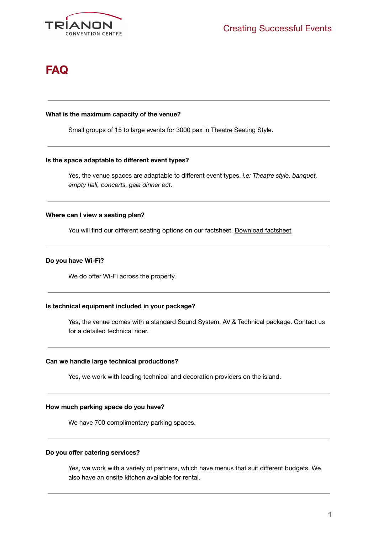

# **FAQ**

## **What is the maximum capacity of the venue?**

Small groups of 15 to large events for 3000 pax in Theatre Seating Style.

## **Is the space adaptable to different event types?**

Yes, the venue spaces are adaptable to different event types. *i.e: Theatre style, banquet, empty hall, concerts, gala dinner ect.*

# **Where can I view a seating plan?**

You will find our different seating options on our factsheet. Download factsheet

# **Do you have Wi-Fi?**

We do offer Wi-Fi across the property.

## **Is technical equipment included in your package?**

Yes, the venue comes with a standard Sound System, AV & Technical package. Contact us for a detailed technical rider.

## **Can we handle large technical productions?**

Yes, we work with leading technical and decoration providers on the island.

## **How much parking space do you have?**

We have 700 complimentary parking spaces.

## **Do you offer catering services?**

Yes, we work with a variety of partners, which have menus that suit different budgets. We also have an onsite kitchen available for rental.